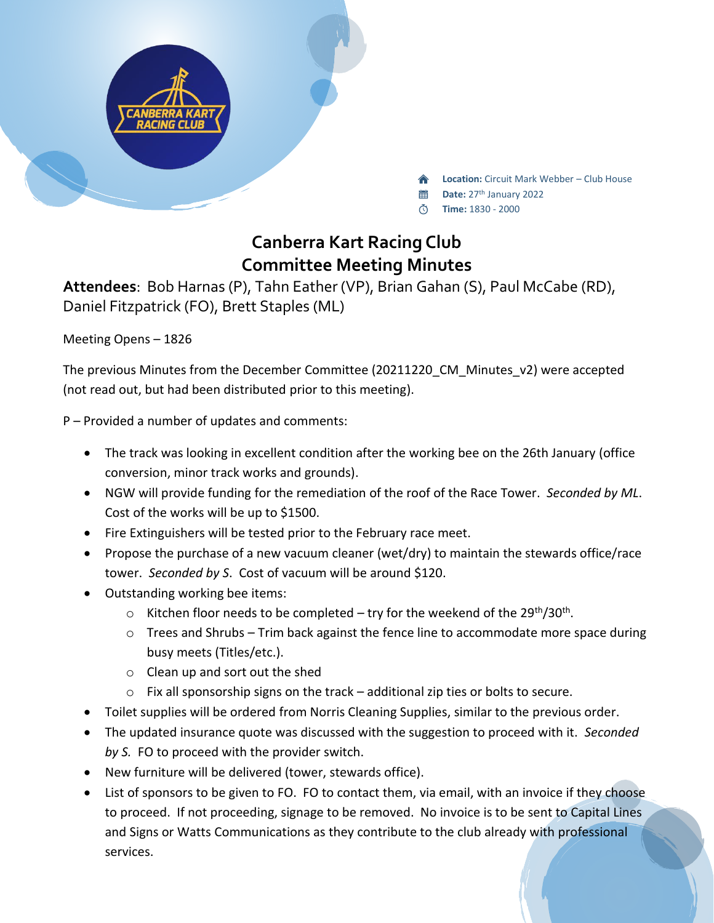

**Location:** Circuit Mark Webber – Club House

- 當 **Date:** 27th January 2022
- **Time:** 1830 2000

## **Canberra Kart Racing Club Committee Meeting Minutes**

**Attendees**: Bob Harnas (P), Tahn Eather (VP), Brian Gahan (S), Paul McCabe (RD), Daniel Fitzpatrick (FO), Brett Staples (ML)

Meeting Opens – 1826

The previous Minutes from the December Committee (20211220\_CM\_Minutes\_v2) were accepted (not read out, but had been distributed prior to this meeting).

P – Provided a number of updates and comments:

- The track was looking in excellent condition after the working bee on the 26th January (office conversion, minor track works and grounds).
- NGW will provide funding for the remediation of the roof of the Race Tower. *Seconded by ML*. Cost of the works will be up to \$1500.
- Fire Extinguishers will be tested prior to the February race meet.
- Propose the purchase of a new vacuum cleaner (wet/dry) to maintain the stewards office/race tower. *Seconded by S*. Cost of vacuum will be around \$120.
- Outstanding working bee items:
	- $\circ$  Kitchen floor needs to be completed try for the weekend of the 29<sup>th</sup>/30<sup>th</sup>.
	- $\circ$  Trees and Shrubs Trim back against the fence line to accommodate more space during busy meets (Titles/etc.).
	- o Clean up and sort out the shed
	- o Fix all sponsorship signs on the track additional zip ties or bolts to secure.
- Toilet supplies will be ordered from Norris Cleaning Supplies, similar to the previous order.
- The updated insurance quote was discussed with the suggestion to proceed with it. *Seconded by S.* FO to proceed with the provider switch.
- New furniture will be delivered (tower, stewards office).
- List of sponsors to be given to FO. FO to contact them, via email, with an invoice if they choose to proceed. If not proceeding, signage to be removed. No invoice is to be sent to Capital Lines and Signs or Watts Communications as they contribute to the club already with professional services.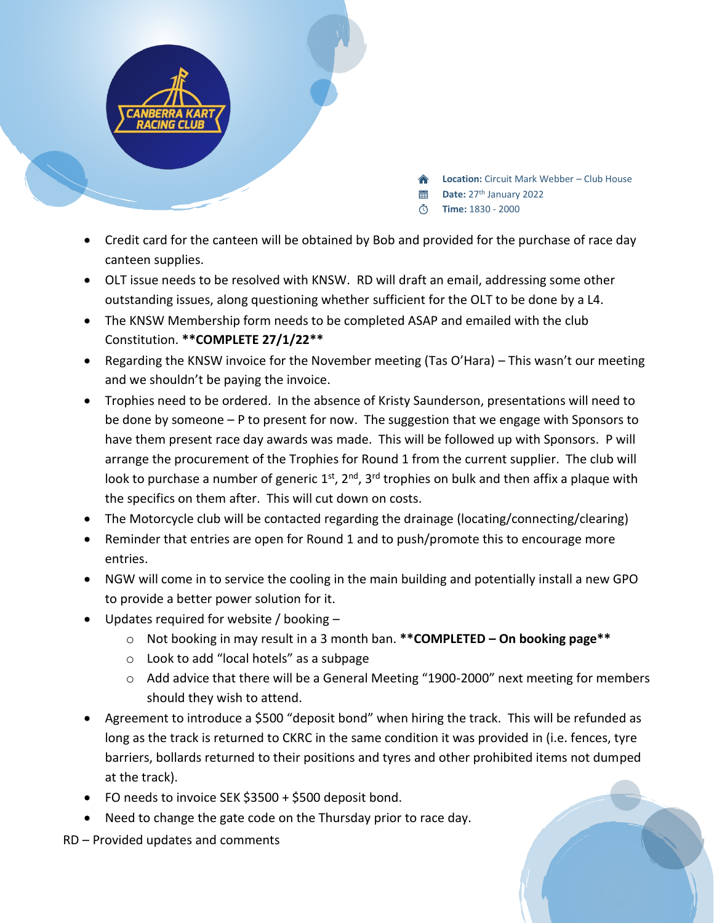

- **Location:** Circuit Mark Webber Club House
- **Date:** 27th January 2022
- **Time:** 1830 2000
- Credit card for the canteen will be obtained by Bob and provided for the purchase of race day canteen supplies.
- OLT issue needs to be resolved with KNSW. RD will draft an email, addressing some other outstanding issues, along questioning whether sufficient for the OLT to be done by a L4.
- The KNSW Membership form needs to be completed ASAP and emailed with the club Constitution. **\*\*COMPLETE 27/1/22\*\***
- Regarding the KNSW invoice for the November meeting (Tas O'Hara) This wasn't our meeting and we shouldn't be paying the invoice.
- Trophies need to be ordered. In the absence of Kristy Saunderson, presentations will need to be done by someone – P to present for now. The suggestion that we engage with Sponsors to have them present race day awards was made. This will be followed up with Sponsors. P will arrange the procurement of the Trophies for Round 1 from the current supplier. The club will look to purchase a number of generic 1<sup>st</sup>, 2<sup>nd</sup>, 3<sup>rd</sup> trophies on bulk and then affix a plaque with the specifics on them after. This will cut down on costs.
- The Motorcycle club will be contacted regarding the drainage (locating/connecting/clearing)
- Reminder that entries are open for Round 1 and to push/promote this to encourage more entries.
- NGW will come in to service the cooling in the main building and potentially install a new GPO to provide a better power solution for it.
- Updates required for website / booking
	- o Not booking in may result in a 3 month ban. **\*\*COMPLETED – On booking page\*\***
	- o Look to add "local hotels" as a subpage
	- $\circ$  Add advice that there will be a General Meeting "1900-2000" next meeting for members should they wish to attend.
- Agreement to introduce a \$500 "deposit bond" when hiring the track. This will be refunded as long as the track is returned to CKRC in the same condition it was provided in (i.e. fences, tyre barriers, bollards returned to their positions and tyres and other prohibited items not dumped at the track).
- FO needs to invoice SEK \$3500 + \$500 deposit bond.
- Need to change the gate code on the Thursday prior to race day.

RD – Provided updates and comments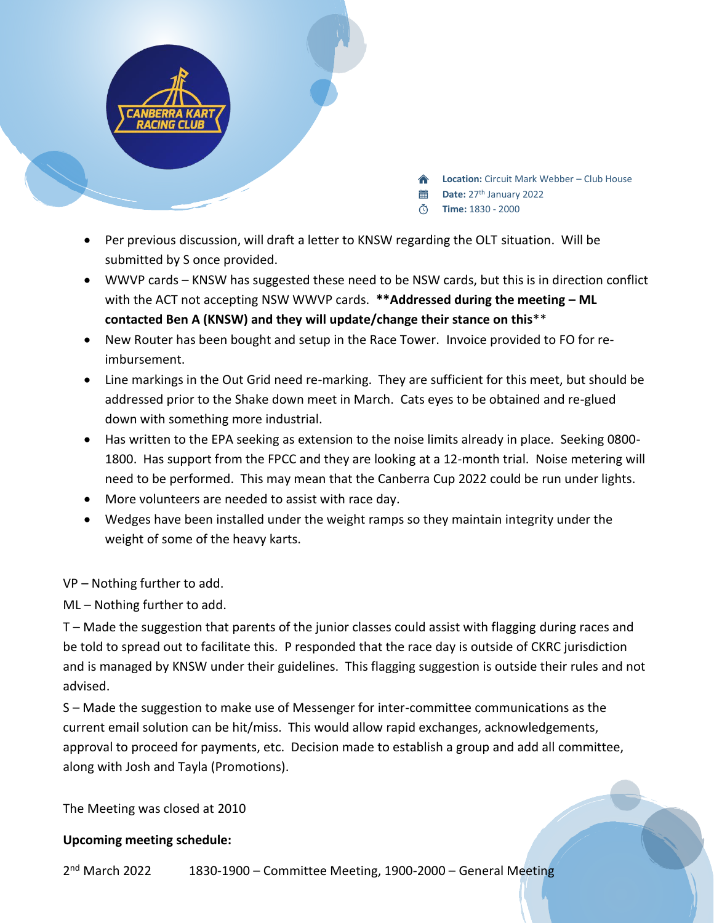

- **Location:** Circuit Mark Webber Club House
- **Date:** 27th January 2022
- **Time:** 1830 2000
- Per previous discussion, will draft a letter to KNSW regarding the OLT situation. Will be submitted by S once provided.
- WWVP cards KNSW has suggested these need to be NSW cards, but this is in direction conflict with the ACT not accepting NSW WWVP cards. **\*\*Addressed during the meeting – ML contacted Ben A (KNSW) and they will update/change their stance on this**\*\*
- New Router has been bought and setup in the Race Tower. Invoice provided to FO for reimbursement.
- Line markings in the Out Grid need re-marking. They are sufficient for this meet, but should be addressed prior to the Shake down meet in March. Cats eyes to be obtained and re-glued down with something more industrial.
- Has written to the EPA seeking as extension to the noise limits already in place. Seeking 0800- 1800. Has support from the FPCC and they are looking at a 12-month trial. Noise metering will need to be performed. This may mean that the Canberra Cup 2022 could be run under lights.
- More volunteers are needed to assist with race day.
- Wedges have been installed under the weight ramps so they maintain integrity under the weight of some of the heavy karts.

VP – Nothing further to add.

ML – Nothing further to add.

T – Made the suggestion that parents of the junior classes could assist with flagging during races and be told to spread out to facilitate this. P responded that the race day is outside of CKRC jurisdiction and is managed by KNSW under their guidelines. This flagging suggestion is outside their rules and not advised.

S – Made the suggestion to make use of Messenger for inter-committee communications as the current email solution can be hit/miss. This would allow rapid exchanges, acknowledgements, approval to proceed for payments, etc. Decision made to establish a group and add all committee, along with Josh and Tayla (Promotions).

The Meeting was closed at 2010

## **Upcoming meeting schedule:**

 $2<sup>nd</sup>$  March 2022 1830-1900 – Committee Meeting, 1900-2000 – General Meeting